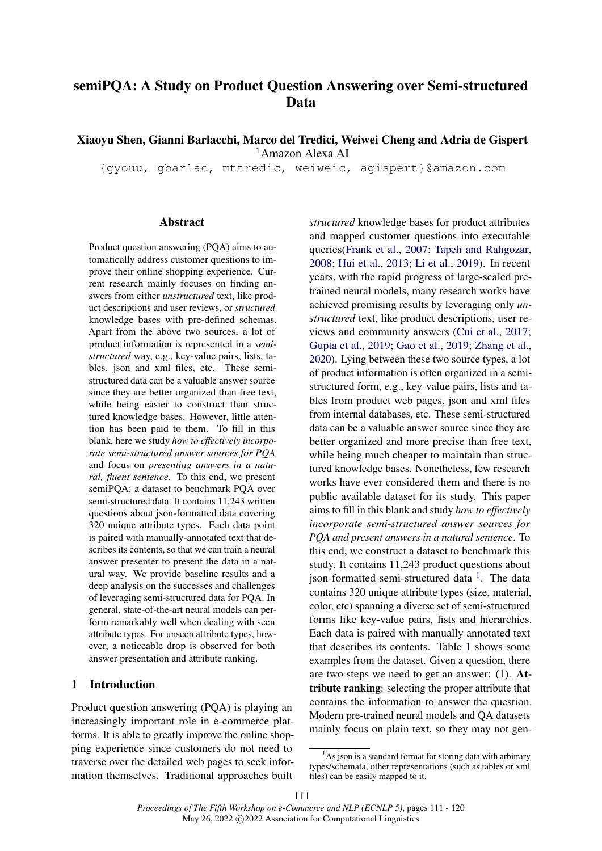# semiPQA: A Study on Product Question Answering over Semi-structured Data

Xiaoyu Shen, Gianni Barlacchi, Marco del Tredici, Weiwei Cheng and Adria de Gispert

<sup>1</sup>Amazon Alexa AI

{gyouu, gbarlac, mttredic, weiweic, agispert}@amazon.com

#### **Abstract**

Product question answering (PQA) aims to automatically address customer questions to improve their online shopping experience. Current research mainly focuses on finding answers from either *unstructured* text, like product descriptions and user reviews, or *structured* knowledge bases with pre-defined schemas. Apart from the above two sources, a lot of product information is represented in a *semistructured* way, e.g., key-value pairs, lists, tables, json and xml files, etc. These semistructured data can be a valuable answer source since they are better organized than free text, while being easier to construct than structured knowledge bases. However, little attention has been paid to them. To fill in this blank, here we study *how to effectively incorporate semi-structured answer sources for PQA* and focus on *presenting answers in a natural, fluent sentence*. To this end, we present semiPQA: a dataset to benchmark PQA over semi-structured data. It contains 11,243 written questions about json-formatted data covering 320 unique attribute types. Each data point is paired with manually-annotated text that describes its contents, so that we can train a neural answer presenter to present the data in a natural way. We provide baseline results and a deep analysis on the successes and challenges of leveraging semi-structured data for PQA. In general, state-of-the-art neural models can perform remarkably well when dealing with seen attribute types. For unseen attribute types, however, a noticeable drop is observed for both answer presentation and attribute ranking.

# 1 Introduction

Product question answering (PQA) is playing an increasingly important role in e-commerce platforms. It is able to greatly improve the online shopping experience since customers do not need to traverse over the detailed web pages to seek information themselves. Traditional approaches built *structured* knowledge bases for product attributes and mapped customer questions into executable queries[\(Frank et al.,](#page-8-0) [2007;](#page-8-0) [Tapeh and Rahgozar,](#page-9-0) [2008;](#page-9-0) [Hui et al.,](#page-8-1) [2013;](#page-8-1) [Li et al.,](#page-8-2) [2019\)](#page-8-2). In recent years, with the rapid progress of large-scaled pretrained neural models, many research works have achieved promising results by leveraging only *unstructured* text, like product descriptions, user reviews and community answers [\(Cui et al.,](#page-8-3) [2017;](#page-8-3) [Gupta et al.,](#page-8-4) [2019;](#page-8-4) [Gao et al.,](#page-8-5) [2019;](#page-8-5) [Zhang et al.,](#page-9-1) [2020\)](#page-9-1). Lying between these two source types, a lot of product information is often organized in a semistructured form, e.g., key-value pairs, lists and tables from product web pages, json and xml files from internal databases, etc. These semi-structured data can be a valuable answer source since they are better organized and more precise than free text, while being much cheaper to maintain than structured knowledge bases. Nonetheless, few research works have ever considered them and there is no public available dataset for its study. This paper aims to fill in this blank and study *how to effectively incorporate semi-structured answer sources for PQA and present answers in a natural sentence*. To this end, we construct a dataset to benchmark this study. It contains 11,243 product questions about json-formatted semi-structured data <sup>[1](#page-0-0)</sup>. The data contains 320 unique attribute types (size, material, color, etc) spanning a diverse set of semi-structured forms like key-value pairs, lists and hierarchies. Each data is paired with manually annotated text that describes its contents. Table [1](#page-2-0) shows some examples from the dataset. Given a question, there are two steps we need to get an answer: (1). Attribute ranking: selecting the proper attribute that contains the information to answer the question. Modern pre-trained neural models and QA datasets mainly focus on plain text, so they may not gen-

<span id="page-0-0"></span> $<sup>1</sup>$ As json is a standard format for storing data with arbitrary</sup> types/schemata, other representations (such as tables or xml files) can be easily mapped to it.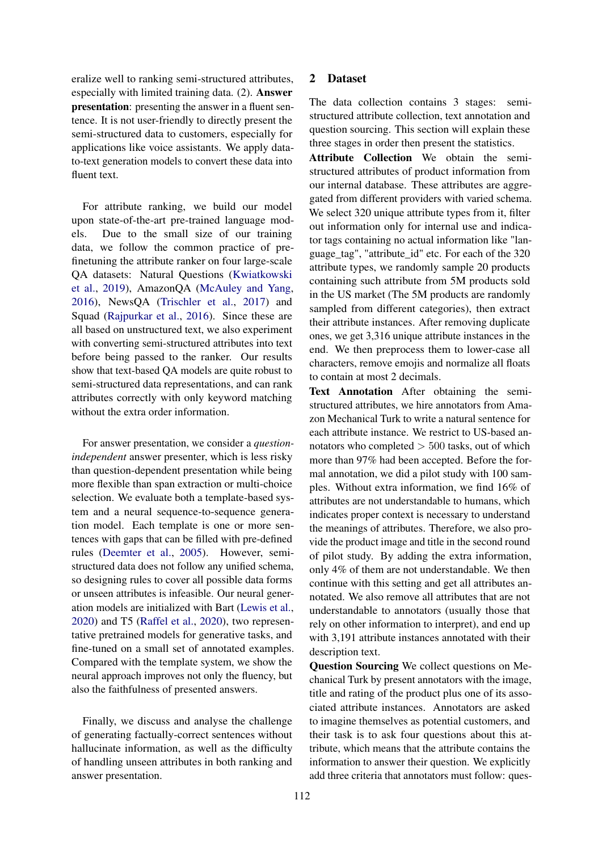eralize well to ranking semi-structured attributes, especially with limited training data. (2). Answer presentation: presenting the answer in a fluent sentence. It is not user-friendly to directly present the semi-structured data to customers, especially for applications like voice assistants. We apply datato-text generation models to convert these data into fluent text.

For attribute ranking, we build our model upon state-of-the-art pre-trained language models. Due to the small size of our training data, we follow the common practice of prefinetuning the attribute ranker on four large-scale QA datasets: Natural Questions [\(Kwiatkowski](#page-8-6) [et al.,](#page-8-6) [2019\)](#page-8-6), AmazonQA [\(McAuley and Yang,](#page-8-7) [2016\)](#page-8-7), NewsQA [\(Trischler et al.,](#page-9-2) [2017\)](#page-9-2) and Squad [\(Rajpurkar et al.,](#page-9-3) [2016\)](#page-9-3). Since these are all based on unstructured text, we also experiment with converting semi-structured attributes into text before being passed to the ranker. Our results show that text-based QA models are quite robust to semi-structured data representations, and can rank attributes correctly with only keyword matching without the extra order information.

For answer presentation, we consider a *questionindependent* answer presenter, which is less risky than question-dependent presentation while being more flexible than span extraction or multi-choice selection. We evaluate both a template-based system and a neural sequence-to-sequence generation model. Each template is one or more sentences with gaps that can be filled with pre-defined rules [\(Deemter et al.,](#page-8-8) [2005\)](#page-8-8). However, semistructured data does not follow any unified schema, so designing rules to cover all possible data forms or unseen attributes is infeasible. Our neural generation models are initialized with Bart [\(Lewis et al.,](#page-8-9) [2020\)](#page-8-9) and T5 [\(Raffel et al.,](#page-9-4) [2020\)](#page-9-4), two representative pretrained models for generative tasks, and fine-tuned on a small set of annotated examples. Compared with the template system, we show the neural approach improves not only the fluency, but also the faithfulness of presented answers.

Finally, we discuss and analyse the challenge of generating factually-correct sentences without hallucinate information, as well as the difficulty of handling unseen attributes in both ranking and answer presentation.

### 2 Dataset

The data collection contains 3 stages: semistructured attribute collection, text annotation and question sourcing. This section will explain these three stages in order then present the statistics.

Attribute Collection We obtain the semistructured attributes of product information from our internal database. These attributes are aggregated from different providers with varied schema. We select 320 unique attribute types from it, filter out information only for internal use and indicator tags containing no actual information like "language\_tag", "attribute\_id" etc. For each of the 320 attribute types, we randomly sample 20 products containing such attribute from 5M products sold in the US market (The 5M products are randomly sampled from different categories), then extract their attribute instances. After removing duplicate ones, we get 3,316 unique attribute instances in the end. We then preprocess them to lower-case all characters, remove emojis and normalize all floats to contain at most 2 decimals.

Text Annotation After obtaining the semistructured attributes, we hire annotators from Amazon Mechanical Turk to write a natural sentence for each attribute instance. We restrict to US-based annotators who completed  $> 500$  tasks, out of which more than 97% had been accepted. Before the formal annotation, we did a pilot study with 100 samples. Without extra information, we find 16% of attributes are not understandable to humans, which indicates proper context is necessary to understand the meanings of attributes. Therefore, we also provide the product image and title in the second round of pilot study. By adding the extra information, only 4% of them are not understandable. We then continue with this setting and get all attributes annotated. We also remove all attributes that are not understandable to annotators (usually those that rely on other information to interpret), and end up with 3,191 attribute instances annotated with their description text.

Question Sourcing We collect questions on Mechanical Turk by present annotators with the image, title and rating of the product plus one of its associated attribute instances. Annotators are asked to imagine themselves as potential customers, and their task is to ask four questions about this attribute, which means that the attribute contains the information to answer their question. We explicitly add three criteria that annotators must follow: ques-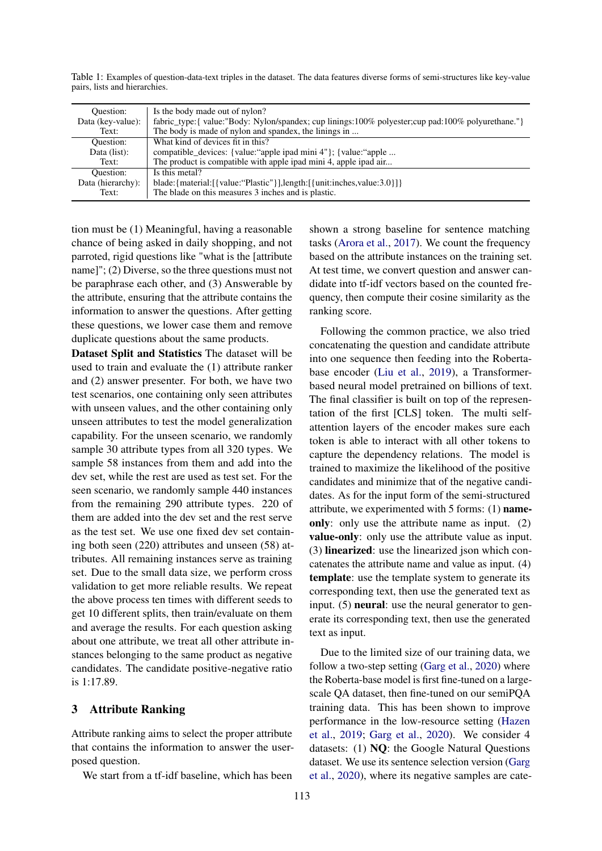<span id="page-2-0"></span>Table 1: Examples of question-data-text triples in the dataset. The data features diverse forms of semi-structures like key-value pairs, lists and hierarchies.

| Ouestion:         | Is the body made out of nylon?                                                                       |
|-------------------|------------------------------------------------------------------------------------------------------|
| Data (key-value): | fabric_type: { value:"Body: Nylon/spandex; cup linings:100% polyester; cup pad:100% polyurethane." } |
| Text:             | The body is made of nylon and spandex, the linings in                                                |
| Ouestion:         | What kind of devices fit in this?                                                                    |
| Data (list):      | compatible_devices: {value:"apple ipad mini 4"}; {value:"apple                                       |
| Text:             | The product is compatible with apple ipad mini 4, apple ipad air                                     |
| Ouestion:         | Is this metal?                                                                                       |
| Data (hierarchy): | blade: {material: [ {value: "Plastic" } ], length: [ {unit: inches, value: 3.0 } ] }                 |
| Text:             | The blade on this measures 3 inches and is plastic.                                                  |

tion must be (1) Meaningful, having a reasonable chance of being asked in daily shopping, and not parroted, rigid questions like "what is the [attribute name]"; (2) Diverse, so the three questions must not be paraphrase each other, and (3) Answerable by the attribute, ensuring that the attribute contains the information to answer the questions. After getting these questions, we lower case them and remove duplicate questions about the same products.

Dataset Split and Statistics The dataset will be used to train and evaluate the (1) attribute ranker and (2) answer presenter. For both, we have two test scenarios, one containing only seen attributes with unseen values, and the other containing only unseen attributes to test the model generalization capability. For the unseen scenario, we randomly sample 30 attribute types from all 320 types. We sample 58 instances from them and add into the dev set, while the rest are used as test set. For the seen scenario, we randomly sample 440 instances from the remaining 290 attribute types. 220 of them are added into the dev set and the rest serve as the test set. We use one fixed dev set containing both seen (220) attributes and unseen (58) attributes. All remaining instances serve as training set. Due to the small data size, we perform cross validation to get more reliable results. We repeat the above process ten times with different seeds to get 10 different splits, then train/evaluate on them and average the results. For each question asking about one attribute, we treat all other attribute instances belonging to the same product as negative candidates. The candidate positive-negative ratio is 1:17.89.

## 3 Attribute Ranking

Attribute ranking aims to select the proper attribute that contains the information to answer the userposed question.

We start from a tf-idf baseline, which has been

shown a strong baseline for sentence matching tasks [\(Arora et al.,](#page-8-10) [2017\)](#page-8-10). We count the frequency based on the attribute instances on the training set. At test time, we convert question and answer candidate into tf-idf vectors based on the counted frequency, then compute their cosine similarity as the ranking score.

Following the common practice, we also tried concatenating the question and candidate attribute into one sequence then feeding into the Robertabase encoder [\(Liu et al.,](#page-8-11) [2019\)](#page-8-11), a Transformerbased neural model pretrained on billions of text. The final classifier is built on top of the representation of the first [CLS] token. The multi selfattention layers of the encoder makes sure each token is able to interact with all other tokens to capture the dependency relations. The model is trained to maximize the likelihood of the positive candidates and minimize that of the negative candidates. As for the input form of the semi-structured attribute, we experimented with 5 forms: (1) nameonly: only use the attribute name as input. (2) value-only: only use the attribute value as input. (3) linearized: use the linearized json which concatenates the attribute name and value as input. (4) template: use the template system to generate its corresponding text, then use the generated text as input. (5) neural: use the neural generator to generate its corresponding text, then use the generated text as input.

Due to the limited size of our training data, we follow a two-step setting [\(Garg et al.,](#page-8-12) [2020\)](#page-8-12) where the Roberta-base model is first fine-tuned on a largescale QA dataset, then fine-tuned on our semiPQA training data. This has been shown to improve performance in the low-resource setting [\(Hazen](#page-8-13) [et al.,](#page-8-13) [2019;](#page-8-13) [Garg et al.,](#page-8-12) [2020\)](#page-8-12). We consider 4 datasets: (1) NQ: the Google Natural Questions dataset. We use its sentence selection version [\(Garg](#page-8-12) [et al.,](#page-8-12) [2020\)](#page-8-12), where its negative samples are cate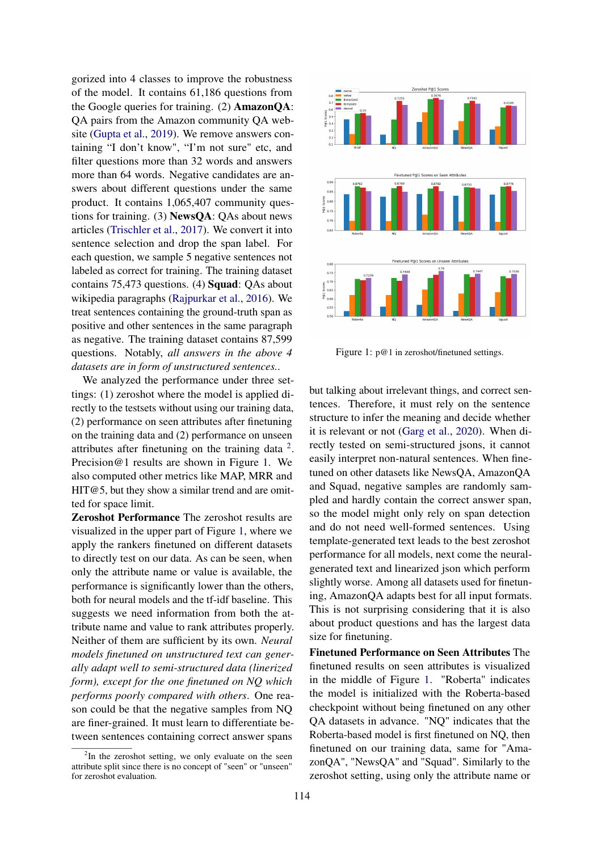gorized into 4 classes to improve the robustness of the model. It contains 61,186 questions from the Google queries for training. (2) AmazonQA: QA pairs from the Amazon community QA website [\(Gupta et al.,](#page-8-4) [2019\)](#page-8-4). We remove answers containing "I don't know", "I'm not sure" etc, and filter questions more than 32 words and answers more than 64 words. Negative candidates are answers about different questions under the same product. It contains 1,065,407 community questions for training. (3) NewsQA: QAs about news articles [\(Trischler et al.,](#page-9-2) [2017\)](#page-9-2). We convert it into sentence selection and drop the span label. For each question, we sample 5 negative sentences not labeled as correct for training. The training dataset contains 75,473 questions. (4) Squad: QAs about wikipedia paragraphs [\(Rajpurkar et al.,](#page-9-3) [2016\)](#page-9-3). We treat sentences containing the ground-truth span as positive and other sentences in the same paragraph as negative. The training dataset contains 87,599 questions. Notably, *all answers in the above 4 datasets are in form of unstructured sentences.*.

We analyzed the performance under three settings: (1) zeroshot where the model is applied directly to the testsets without using our training data, (2) performance on seen attributes after finetuning on the training data and (2) performance on unseen attributes after finetuning on the training data  $2$ . Precision@1 results are shown in Figure [1.](#page-3-1) We also computed other metrics like MAP, MRR and  $HT@5$ , but they show a similar trend and are omitted for space limit.

Zeroshot Performance The zeroshot results are visualized in the upper part of Figure [1,](#page-3-1) where we apply the rankers finetuned on different datasets to directly test on our data. As can be seen, when only the attribute name or value is available, the performance is significantly lower than the others, both for neural models and the tf-idf baseline. This suggests we need information from both the attribute name and value to rank attributes properly. Neither of them are sufficient by its own. *Neural models finetuned on unstructured text can generally adapt well to semi-structured data (linerized form), except for the one finetuned on NQ which performs poorly compared with others*. One reason could be that the negative samples from NQ are finer-grained. It must learn to differentiate between sentences containing correct answer spans

<span id="page-3-1"></span>

Figure 1: p@1 in zeroshot/finetuned settings.

but talking about irrelevant things, and correct sentences. Therefore, it must rely on the sentence structure to infer the meaning and decide whether it is relevant or not [\(Garg et al.,](#page-8-12) [2020\)](#page-8-12). When directly tested on semi-structured jsons, it cannot easily interpret non-natural sentences. When finetuned on other datasets like NewsQA, AmazonQA and Squad, negative samples are randomly sampled and hardly contain the correct answer span, so the model might only rely on span detection and do not need well-formed sentences. Using template-generated text leads to the best zeroshot performance for all models, next come the neuralgenerated text and linearized json which perform slightly worse. Among all datasets used for finetuning, AmazonQA adapts best for all input formats. This is not surprising considering that it is also about product questions and has the largest data size for finetuning.

Finetuned Performance on Seen Attributes The finetuned results on seen attributes is visualized in the middle of Figure [1.](#page-3-1) "Roberta" indicates the model is initialized with the Roberta-based checkpoint without being finetuned on any other QA datasets in advance. "NQ" indicates that the Roberta-based model is first finetuned on NQ, then finetuned on our training data, same for "AmazonQA", "NewsQA" and "Squad". Similarly to the zeroshot setting, using only the attribute name or

<span id="page-3-0"></span> $2$ In the zeroshot setting, we only evaluate on the seen attribute split since there is no concept of "seen" or "unseen" for zeroshot evaluation.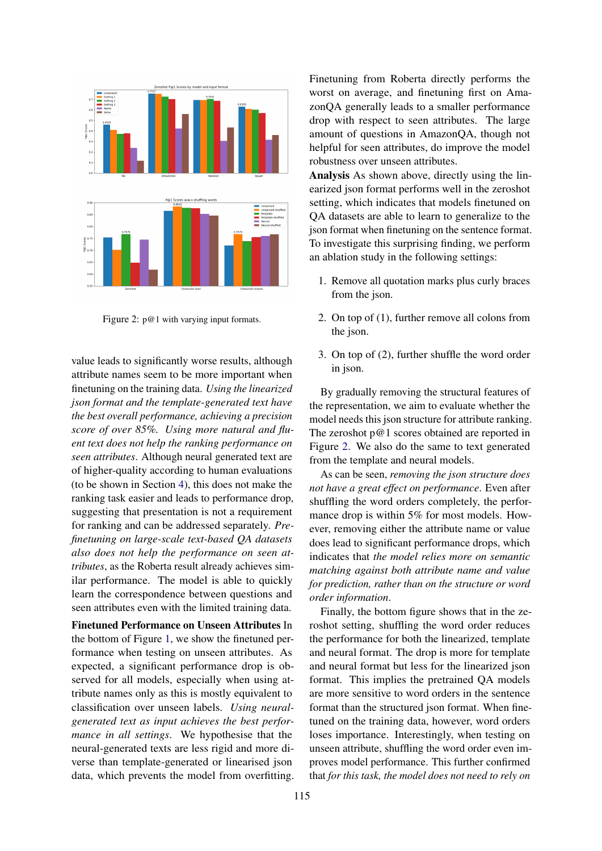<span id="page-4-0"></span>

Figure 2: p@1 with varying input formats.

value leads to significantly worse results, although attribute names seem to be more important when finetuning on the training data. *Using the linearized json format and the template-generated text have the best overall performance, achieving a precision score of over 85%. Using more natural and fluent text does not help the ranking performance on seen attributes*. Although neural generated text are of higher-quality according to human evaluations (to be shown in Section [4\)](#page-5-0), this does not make the ranking task easier and leads to performance drop, suggesting that presentation is not a requirement for ranking and can be addressed separately. *Prefinetuning on large-scale text-based QA datasets also does not help the performance on seen attributes*, as the Roberta result already achieves similar performance. The model is able to quickly learn the correspondence between questions and seen attributes even with the limited training data.

Finetuned Performance on Unseen Attributes In the bottom of Figure [1,](#page-3-1) we show the finetuned performance when testing on unseen attributes. As expected, a significant performance drop is observed for all models, especially when using attribute names only as this is mostly equivalent to classification over unseen labels. *Using neuralgenerated text as input achieves the best performance in all settings*. We hypothesise that the neural-generated texts are less rigid and more diverse than template-generated or linearised json data, which prevents the model from overfitting. Finetuning from Roberta directly performs the worst on average, and finetuning first on AmazonQA generally leads to a smaller performance drop with respect to seen attributes. The large amount of questions in AmazonQA, though not helpful for seen attributes, do improve the model robustness over unseen attributes.

Analysis As shown above, directly using the linearized json format performs well in the zeroshot setting, which indicates that models finetuned on QA datasets are able to learn to generalize to the json format when finetuning on the sentence format. To investigate this surprising finding, we perform an ablation study in the following settings:

- 1. Remove all quotation marks plus curly braces from the json.
- 2. On top of (1), further remove all colons from the json.
- 3. On top of (2), further shuffle the word order in json.

By gradually removing the structural features of the representation, we aim to evaluate whether the model needs this json structure for attribute ranking. The zeroshot p@1 scores obtained are reported in Figure [2.](#page-4-0) We also do the same to text generated from the template and neural models.

As can be seen, *removing the json structure does not have a great effect on performance*. Even after shuffling the word orders completely, the performance drop is within 5% for most models. However, removing either the attribute name or value does lead to significant performance drops, which indicates that *the model relies more on semantic matching against both attribute name and value for prediction, rather than on the structure or word order information*.

Finally, the bottom figure shows that in the zeroshot setting, shuffling the word order reduces the performance for both the linearized, template and neural format. The drop is more for template and neural format but less for the linearized json format. This implies the pretrained QA models are more sensitive to word orders in the sentence format than the structured json format. When finetuned on the training data, however, word orders loses importance. Interestingly, when testing on unseen attribute, shuffling the word order even improves model performance. This further confirmed that *for this task, the model does not need to rely on*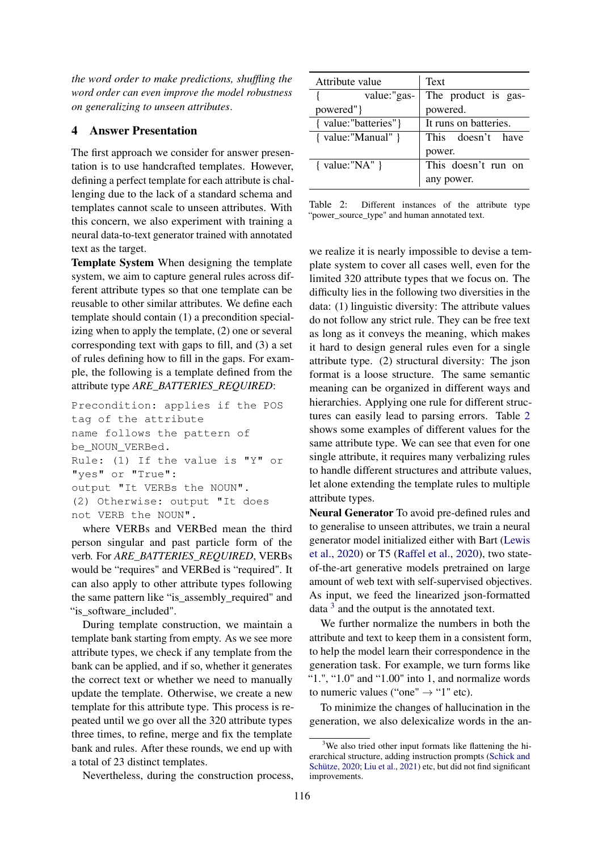*the word order to make predictions, shuffling the word order can even improve the model robustness on generalizing to unseen attributes*.

# <span id="page-5-0"></span>4 Answer Presentation

The first approach we consider for answer presentation is to use handcrafted templates. However, defining a perfect template for each attribute is challenging due to the lack of a standard schema and templates cannot scale to unseen attributes. With this concern, we also experiment with training a neural data-to-text generator trained with annotated text as the target.

Template System When designing the template system, we aim to capture general rules across different attribute types so that one template can be reusable to other similar attributes. We define each template should contain (1) a precondition specializing when to apply the template, (2) one or several corresponding text with gaps to fill, and (3) a set of rules defining how to fill in the gaps. For example, the following is a template defined from the attribute type *ARE\_BATTERIES\_REQUIRED*:

Precondition: applies if the POS tag of the attribute name follows the pattern of be\_NOUN\_VERBed. Rule: (1) If the value is "Y" or "yes" or "True": output "It VERBs the NOUN". (2) Otherwise: output "It does not VERB the NOUN".

where VERBs and VERBed mean the third person singular and past particle form of the verb. For *ARE\_BATTERIES\_REQUIRED*, VERBs would be "requires" and VERBed is "required". It can also apply to other attribute types following the same pattern like "is\_assembly\_required" and "is\_software\_included".

During template construction, we maintain a template bank starting from empty. As we see more attribute types, we check if any template from the bank can be applied, and if so, whether it generates the correct text or whether we need to manually update the template. Otherwise, we create a new template for this attribute type. This process is repeated until we go over all the 320 attribute types three times, to refine, merge and fix the template bank and rules. After these rounds, we end up with a total of 23 distinct templates.

Nevertheless, during the construction process,

<span id="page-5-1"></span>

| Attribute value      | Text                  |  |  |
|----------------------|-----------------------|--|--|
| value:"gas-          | The product is gas-   |  |  |
| powered" }           | powered.              |  |  |
| { value:"batteries"} | It runs on batteries. |  |  |
| { value:"Manual" }   | This doesn't have     |  |  |
|                      | power.                |  |  |
| { $value="NA"$ }     | This doesn't run on   |  |  |
|                      | any power.            |  |  |

Table 2: Different instances of the attribute type "power\_source\_type" and human annotated text.

we realize it is nearly impossible to devise a template system to cover all cases well, even for the limited 320 attribute types that we focus on. The difficulty lies in the following two diversities in the data: (1) linguistic diversity: The attribute values do not follow any strict rule. They can be free text as long as it conveys the meaning, which makes it hard to design general rules even for a single attribute type. (2) structural diversity: The json format is a loose structure. The same semantic meaning can be organized in different ways and hierarchies. Applying one rule for different structures can easily lead to parsing errors. Table [2](#page-5-1) shows some examples of different values for the same attribute type. We can see that even for one single attribute, it requires many verbalizing rules to handle different structures and attribute values, let alone extending the template rules to multiple attribute types.

Neural Generator To avoid pre-defined rules and to generalise to unseen attributes, we train a neural generator model initialized either with Bart [\(Lewis](#page-8-9) [et al.,](#page-8-9) [2020\)](#page-8-9) or T5 [\(Raffel et al.,](#page-9-4) [2020\)](#page-9-4), two stateof-the-art generative models pretrained on large amount of web text with self-supervised objectives. As input, we feed the linearized json-formatted data  $3$  and the output is the annotated text.

We further normalize the numbers in both the attribute and text to keep them in a consistent form, to help the model learn their correspondence in the generation task. For example, we turn forms like " $1."$ , " $1.0"$  and " $1.00"$  into 1, and normalize words to numeric values ("one"  $\rightarrow$  "1" etc).

To minimize the changes of hallucination in the generation, we also delexicalize words in the an-

<span id="page-5-2"></span><sup>&</sup>lt;sup>3</sup>We also tried other input formats like flattening the hierarchical structure, adding instruction prompts [\(Schick and](#page-9-5) [Schütze,](#page-9-5) [2020;](#page-9-5) [Liu et al.,](#page-8-14) [2021\)](#page-8-14) etc, but did not find significant improvements.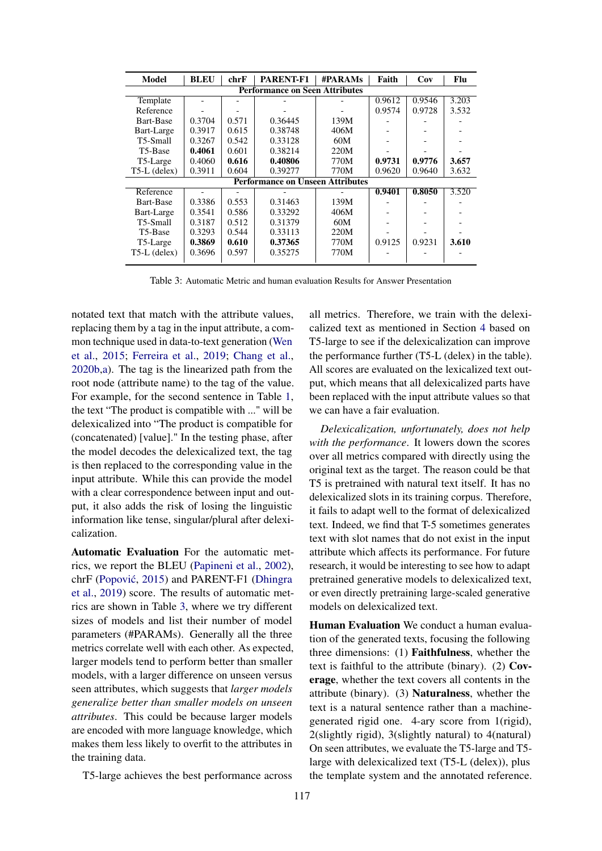<span id="page-6-0"></span>

| <b>Model</b>                            | <b>BLEU</b> | chrF  | <b>PARENT-F1</b> | <b>#PARAMs</b> | Faith  | Cov    | Flu   |
|-----------------------------------------|-------------|-------|------------------|----------------|--------|--------|-------|
| <b>Performance on Seen Attributes</b>   |             |       |                  |                |        |        |       |
| Template                                |             |       |                  |                | 0.9612 | 0.9546 | 3.203 |
| Reference                               |             |       |                  |                | 0.9574 | 0.9728 | 3.532 |
| Bart-Base                               | 0.3704      | 0.571 | 0.36445          | 139M           |        |        |       |
| Bart-Large                              | 0.3917      | 0.615 | 0.38748          | 406M           |        |        |       |
| T5-Small                                | 0.3267      | 0.542 | 0.33128          | 60M            |        |        |       |
| T5-Base                                 | 0.4061      | 0.601 | 0.38214          | 220M           |        |        |       |
| T5-Large                                | 0.4060      | 0.616 | 0.40806          | 770M           | 0.9731 | 0.9776 | 3.657 |
| $T5-L$ (delex)                          | 0.3911      | 0.604 | 0.39277          | 770M           | 0.9620 | 0.9640 | 3.632 |
| <b>Performance on Unseen Attributes</b> |             |       |                  |                |        |        |       |
| Reference                               |             |       |                  |                | 0.9401 | 0.8050 | 3.520 |
| Bart-Base                               | 0.3386      | 0.553 | 0.31463          | 139M           |        |        |       |
| Bart-Large                              | 0.3541      | 0.586 | 0.33292          | 406M           |        |        |       |
| T5-Small                                | 0.3187      | 0.512 | 0.31379          | 60M            |        |        |       |
| T5-Base                                 | 0.3293      | 0.544 | 0.33113          | 220M           |        |        |       |
| T5-Large                                | 0.3869      | 0.610 | 0.37365          | 770M           | 0.9125 | 0.9231 | 3.610 |
| T5-L (delex)                            | 0.3696      | 0.597 | 0.35275          | 770M           |        |        |       |

Table 3: Automatic Metric and human evaluation Results for Answer Presentation

notated text that match with the attribute values, replacing them by a tag in the input attribute, a common technique used in data-to-text generation [\(Wen](#page-9-6) [et al.,](#page-9-6) [2015;](#page-9-6) [Ferreira et al.,](#page-8-15) [2019;](#page-8-15) [Chang et al.,](#page-8-16) [2020b](#page-8-16)[,a\)](#page-8-17). The tag is the linearized path from the root node (attribute name) to the tag of the value. For example, for the second sentence in Table [1,](#page-2-0) the text "The product is compatible with ..." will be delexicalized into "The product is compatible for (concatenated) [value]." In the testing phase, after the model decodes the delexicalized text, the tag is then replaced to the corresponding value in the input attribute. While this can provide the model with a clear correspondence between input and output, it also adds the risk of losing the linguistic information like tense, singular/plural after delexicalization.

Automatic Evaluation For the automatic metrics, we report the BLEU [\(Papineni et al.,](#page-8-18) [2002\)](#page-8-18), chrF (Popović, [2015\)](#page-8-19) and PARENT-F1 [\(Dhingra](#page-8-20) [et al.,](#page-8-20) [2019\)](#page-8-20) score. The results of automatic metrics are shown in Table [3,](#page-6-0) where we try different sizes of models and list their number of model parameters (#PARAMs). Generally all the three metrics correlate well with each other. As expected, larger models tend to perform better than smaller models, with a larger difference on unseen versus seen attributes, which suggests that *larger models generalize better than smaller models on unseen attributes*. This could be because larger models are encoded with more language knowledge, which makes them less likely to overfit to the attributes in the training data.

T5-large achieves the best performance across

all metrics. Therefore, we train with the delexicalized text as mentioned in Section [4](#page-6-0) based on T5-large to see if the delexicalization can improve the performance further (T5-L (delex) in the table). All scores are evaluated on the lexicalized text output, which means that all delexicalized parts have been replaced with the input attribute values so that we can have a fair evaluation.

*Delexicalization, unfortunately, does not help with the performance*. It lowers down the scores over all metrics compared with directly using the original text as the target. The reason could be that T5 is pretrained with natural text itself. It has no delexicalized slots in its training corpus. Therefore, it fails to adapt well to the format of delexicalized text. Indeed, we find that T-5 sometimes generates text with slot names that do not exist in the input attribute which affects its performance. For future research, it would be interesting to see how to adapt pretrained generative models to delexicalized text, or even directly pretraining large-scaled generative models on delexicalized text.

Human Evaluation We conduct a human evaluation of the generated texts, focusing the following three dimensions: (1) Faithfulness, whether the text is faithful to the attribute (binary). (2) Coverage, whether the text covers all contents in the attribute (binary). (3) Naturalness, whether the text is a natural sentence rather than a machinegenerated rigid one. 4-ary score from 1(rigid), 2(slightly rigid), 3(slightly natural) to 4(natural) On seen attributes, we evaluate the T5-large and T5 large with delexicalized text (T5-L (delex)), plus the template system and the annotated reference.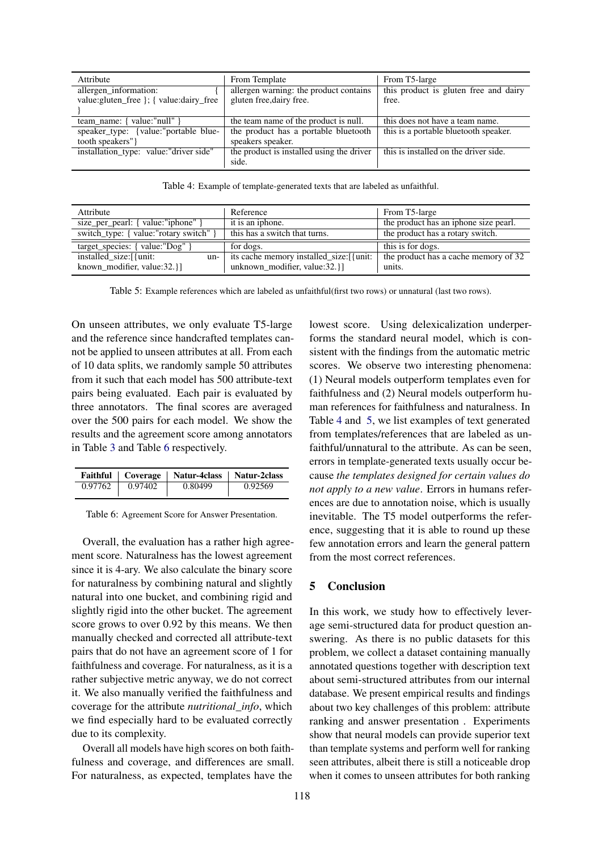<span id="page-7-1"></span>

| Attribute                                 | From Template                             | From T5-large                         |
|-------------------------------------------|-------------------------------------------|---------------------------------------|
| allergen information:                     | allergen warning: the product contains    | this product is gluten free and dairy |
| value: gluten_free \; { value: dairy_free | gluten free, dairy free.                  | free.                                 |
|                                           |                                           |                                       |
| team name: { value:"null" }               | the team name of the product is null.     | this does not have a team name.       |
| speaker_type: {value:"portable blue-      | the product has a portable bluetooth      | this is a portable bluetooth speaker. |
| tooth speakers"}                          | speakers speaker.                         |                                       |
| installation_type: value:"driver side"    | the product is installed using the driver | this is installed on the driver side. |
|                                           | side.                                     |                                       |

Table 4: Example of template-generated texts that are labeled as unfaithful.

<span id="page-7-2"></span>

| Attribute                              | Reference                                 | From T5-large                         |
|----------------------------------------|-------------------------------------------|---------------------------------------|
| size_per_pearl: { value:"iphone" }     | it is an iphone.                          | the product has an iphone size pearl. |
| switch_type: { value:"rotary switch" } | this has a switch that turns.             | the product has a rotary switch.      |
| $target_{species:} \{ value: "Dog" \}$ | for dogs.                                 | this is for dogs.                     |
| installed_size:[{unit:<br>$un-1$       | its cache memory installed size: [ {unit: | the product has a cache memory of 32  |
| known modifier, value:32.}             | unknown_modifier, value:32.}              | units.                                |

Table 5: Example references which are labeled as unfaithful(first two rows) or unnatural (last two rows).

On unseen attributes, we only evaluate T5-large and the reference since handcrafted templates cannot be applied to unseen attributes at all. From each of 10 data splits, we randomly sample 50 attributes from it such that each model has 500 attribute-text pairs being evaluated. Each pair is evaluated by three annotators. The final scores are averaged over the 500 pairs for each model. We show the results and the agreement score among annotators in Table [3](#page-6-0) and Table [6](#page-7-0) respectively.

<span id="page-7-0"></span>

|         |         | Faithful   Coverage   Natur-4class   Natur-2class |         |
|---------|---------|---------------------------------------------------|---------|
| 0.97762 | 0.97402 | 0.80499                                           | 0.92569 |

Table 6: Agreement Score for Answer Presentation.

Overall, the evaluation has a rather high agreement score. Naturalness has the lowest agreement since it is 4-ary. We also calculate the binary score for naturalness by combining natural and slightly natural into one bucket, and combining rigid and slightly rigid into the other bucket. The agreement score grows to over 0.92 by this means. We then manually checked and corrected all attribute-text pairs that do not have an agreement score of 1 for faithfulness and coverage. For naturalness, as it is a rather subjective metric anyway, we do not correct it. We also manually verified the faithfulness and coverage for the attribute *nutritional\_info*, which we find especially hard to be evaluated correctly due to its complexity.

Overall all models have high scores on both faithfulness and coverage, and differences are small. For naturalness, as expected, templates have the

lowest score. Using delexicalization underperforms the standard neural model, which is consistent with the findings from the automatic metric scores. We observe two interesting phenomena: (1) Neural models outperform templates even for faithfulness and (2) Neural models outperform human references for faithfulness and naturalness. In Table [4](#page-7-1) and [5,](#page-7-2) we list examples of text generated from templates/references that are labeled as unfaithful/unnatural to the attribute. As can be seen, errors in template-generated texts usually occur because *the templates designed for certain values do not apply to a new value*. Errors in humans references are due to annotation noise, which is usually inevitable. The T5 model outperforms the reference, suggesting that it is able to round up these few annotation errors and learn the general pattern from the most correct references.

#### 5 Conclusion

In this work, we study how to effectively leverage semi-structured data for product question answering. As there is no public datasets for this problem, we collect a dataset containing manually annotated questions together with description text about semi-structured attributes from our internal database. We present empirical results and findings about two key challenges of this problem: attribute ranking and answer presentation . Experiments show that neural models can provide superior text than template systems and perform well for ranking seen attributes, albeit there is still a noticeable drop when it comes to unseen attributes for both ranking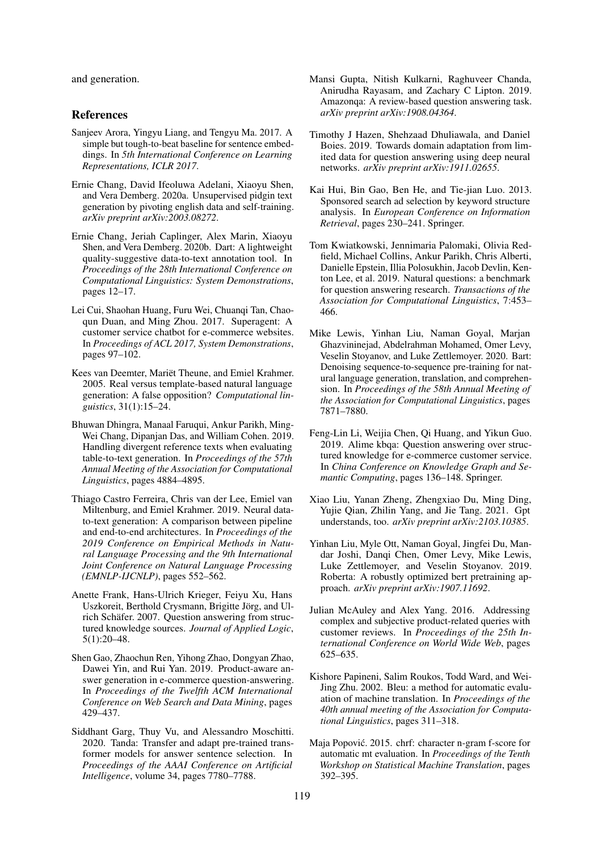and generation.

#### References

- <span id="page-8-10"></span>Sanjeev Arora, Yingyu Liang, and Tengyu Ma. 2017. A simple but tough-to-beat baseline for sentence embeddings. In *5th International Conference on Learning Representations, ICLR 2017*.
- <span id="page-8-17"></span>Ernie Chang, David Ifeoluwa Adelani, Xiaoyu Shen, and Vera Demberg. 2020a. Unsupervised pidgin text generation by pivoting english data and self-training. *arXiv preprint arXiv:2003.08272*.
- <span id="page-8-16"></span>Ernie Chang, Jeriah Caplinger, Alex Marin, Xiaoyu Shen, and Vera Demberg. 2020b. Dart: A lightweight quality-suggestive data-to-text annotation tool. In *Proceedings of the 28th International Conference on Computational Linguistics: System Demonstrations*, pages 12–17.
- <span id="page-8-3"></span>Lei Cui, Shaohan Huang, Furu Wei, Chuanqi Tan, Chaoqun Duan, and Ming Zhou. 2017. Superagent: A customer service chatbot for e-commerce websites. In *Proceedings of ACL 2017, System Demonstrations*, pages 97–102.
- <span id="page-8-8"></span>Kees van Deemter, Mariët Theune, and Emiel Krahmer. 2005. Real versus template-based natural language generation: A false opposition? *Computational linguistics*, 31(1):15–24.
- <span id="page-8-20"></span>Bhuwan Dhingra, Manaal Faruqui, Ankur Parikh, Ming-Wei Chang, Dipanjan Das, and William Cohen. 2019. Handling divergent reference texts when evaluating table-to-text generation. In *Proceedings of the 57th Annual Meeting of the Association for Computational Linguistics*, pages 4884–4895.
- <span id="page-8-15"></span>Thiago Castro Ferreira, Chris van der Lee, Emiel van Miltenburg, and Emiel Krahmer. 2019. Neural datato-text generation: A comparison between pipeline and end-to-end architectures. In *Proceedings of the 2019 Conference on Empirical Methods in Natural Language Processing and the 9th International Joint Conference on Natural Language Processing (EMNLP-IJCNLP)*, pages 552–562.
- <span id="page-8-0"></span>Anette Frank, Hans-Ulrich Krieger, Feiyu Xu, Hans Uszkoreit, Berthold Crysmann, Brigitte Jörg, and Ulrich Schäfer. 2007. Question answering from structured knowledge sources. *Journal of Applied Logic*, 5(1):20–48.
- <span id="page-8-5"></span>Shen Gao, Zhaochun Ren, Yihong Zhao, Dongyan Zhao, Dawei Yin, and Rui Yan. 2019. Product-aware answer generation in e-commerce question-answering. In *Proceedings of the Twelfth ACM International Conference on Web Search and Data Mining*, pages 429–437.
- <span id="page-8-12"></span>Siddhant Garg, Thuy Vu, and Alessandro Moschitti. 2020. Tanda: Transfer and adapt pre-trained transformer models for answer sentence selection. In *Proceedings of the AAAI Conference on Artificial Intelligence*, volume 34, pages 7780–7788.
- <span id="page-8-4"></span>Mansi Gupta, Nitish Kulkarni, Raghuveer Chanda, Anirudha Rayasam, and Zachary C Lipton. 2019. Amazonqa: A review-based question answering task. *arXiv preprint arXiv:1908.04364*.
- <span id="page-8-13"></span>Timothy J Hazen, Shehzaad Dhuliawala, and Daniel Boies. 2019. Towards domain adaptation from limited data for question answering using deep neural networks. *arXiv preprint arXiv:1911.02655*.
- <span id="page-8-1"></span>Kai Hui, Bin Gao, Ben He, and Tie-jian Luo. 2013. Sponsored search ad selection by keyword structure analysis. In *European Conference on Information Retrieval*, pages 230–241. Springer.
- <span id="page-8-6"></span>Tom Kwiatkowski, Jennimaria Palomaki, Olivia Redfield, Michael Collins, Ankur Parikh, Chris Alberti, Danielle Epstein, Illia Polosukhin, Jacob Devlin, Kenton Lee, et al. 2019. Natural questions: a benchmark for question answering research. *Transactions of the Association for Computational Linguistics*, 7:453– 466.
- <span id="page-8-9"></span>Mike Lewis, Yinhan Liu, Naman Goyal, Marjan Ghazvininejad, Abdelrahman Mohamed, Omer Levy, Veselin Stoyanov, and Luke Zettlemoyer. 2020. Bart: Denoising sequence-to-sequence pre-training for natural language generation, translation, and comprehension. In *Proceedings of the 58th Annual Meeting of the Association for Computational Linguistics*, pages 7871–7880.
- <span id="page-8-2"></span>Feng-Lin Li, Weijia Chen, Qi Huang, and Yikun Guo. 2019. Alime kbqa: Question answering over structured knowledge for e-commerce customer service. In *China Conference on Knowledge Graph and Semantic Computing*, pages 136–148. Springer.
- <span id="page-8-14"></span>Xiao Liu, Yanan Zheng, Zhengxiao Du, Ming Ding, Yujie Qian, Zhilin Yang, and Jie Tang. 2021. Gpt understands, too. *arXiv preprint arXiv:2103.10385*.
- <span id="page-8-11"></span>Yinhan Liu, Myle Ott, Naman Goyal, Jingfei Du, Mandar Joshi, Danqi Chen, Omer Levy, Mike Lewis, Luke Zettlemoyer, and Veselin Stoyanov. 2019. Roberta: A robustly optimized bert pretraining approach. *arXiv preprint arXiv:1907.11692*.
- <span id="page-8-7"></span>Julian McAuley and Alex Yang. 2016. Addressing complex and subjective product-related queries with customer reviews. In *Proceedings of the 25th International Conference on World Wide Web*, pages 625–635.
- <span id="page-8-18"></span>Kishore Papineni, Salim Roukos, Todd Ward, and Wei-Jing Zhu. 2002. Bleu: a method for automatic evaluation of machine translation. In *Proceedings of the 40th annual meeting of the Association for Computational Linguistics*, pages 311–318.
- <span id="page-8-19"></span>Maja Popovic. 2015. chrf: character n-gram f-score for ´ automatic mt evaluation. In *Proceedings of the Tenth Workshop on Statistical Machine Translation*, pages 392–395.